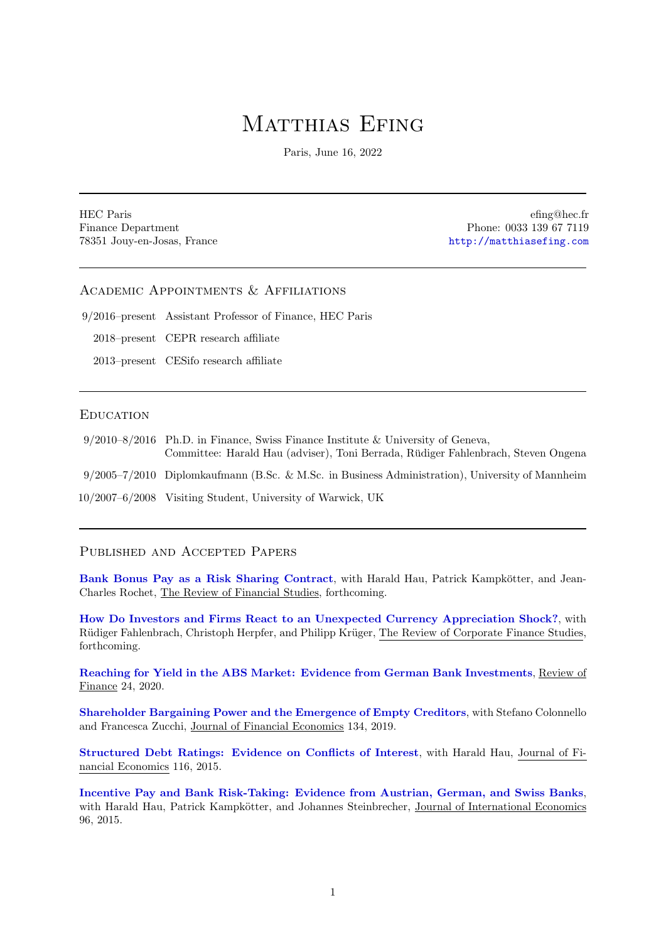# MATTHIAS EFING

Paris, June 16, 2022

HEC Paris Finance Department 78351 Jouy-en-Josas, France

efing@hec.fr Phone: 0033 139 67 7119 <http://matthiasefing.com>

# Academic Appointments & Affiliations

9/2016–present Assistant Professor of Finance, HEC Paris

2018–present CEPR research affiliate

2013–present CESifo research affiliate

#### **EDUCATION**

| $9/2010-8/2016$ Ph.D. in Finance, Swiss Finance Institute & University of Geneva,<br>Committee: Harald Hau (adviser), Toni Berrada, Rüdiger Fahlenbrach, Steven Ongena |
|------------------------------------------------------------------------------------------------------------------------------------------------------------------------|
| $9/2005-7/2010$ Diplomkaufmann (B.Sc. & M.Sc. in Business Administration), University of Mannheim                                                                      |
| 10/2007–6/2008 Visiting Student, University of Warwick, UK                                                                                                             |

#### Published and Accepted Papers

[Bank Bonus Pay as a Risk Sharing Contract](https://academic.oup.com/rfs/advance-article/doi/10.1093/rfs/hhac030/6594131?login=true), with Harald Hau, Patrick Kampkötter, and Jean-Charles Rochet, The Review of Financial Studies, forthcoming.

[How Do Investors and Firms React to an Unexpected Currency Appreciation Shock?](https://papers.ssrn.com/sol3/papers.cfm?abstract_id=2709637), with Rüdiger Fahlenbrach, Christoph Herpfer, and Philipp Krüger, The Review of Corporate Finance Studies, forthcoming.

[Reaching for Yield in the ABS Market: Evidence from German Bank Investments](https://academic.oup.com/rof/article/24/4/929/5540329?guestAccessKey=3dc4faa4-6064-4678-ba59-470cbfa756e0), Review of Finance 24, 2020.

[Shareholder Bargaining Power and the Emergence of Empty Creditors](https://www.sciencedirect.com/science/article/pii/S0304405X19300868?via%3Dihub), with Stefano Colonnello and Francesca Zucchi, Journal of Financial Economics 134, 2019.

[Structured Debt Ratings: Evidence on Conflicts of Interest](https://www.sciencedirect.com/science/article/pii/S0304405X14002554), with Harald Hau, Journal of Financial Economics 116, 2015.

[Incentive Pay and Bank Risk-Taking: Evidence from Austrian, German, and Swiss Banks](https://www.sciencedirect.com/science/article/pii/S0022199614001512), with Harald Hau, Patrick Kampkötter, and Johannes Steinbrecher, Journal of International Economics 96, 2015.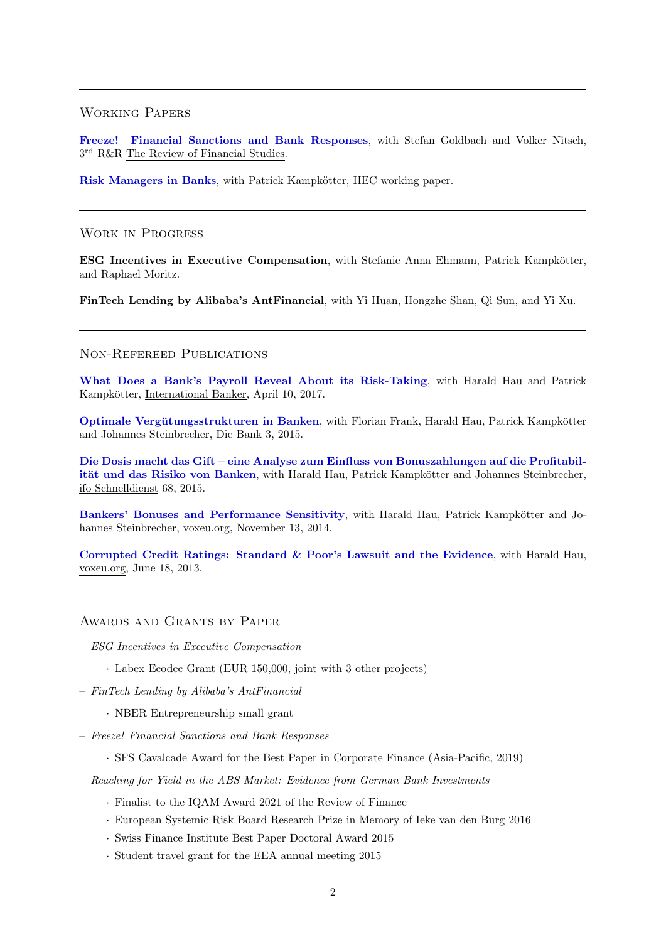#### Working Papers

[Freeze! Financial Sanctions and Bank Responses](https://www.dropbox.com/s/96o4xrysboey95f/_manuscript_v91.pdf?dl=0), with Stefan Goldbach and Volker Nitsch, 3 rd R&R The Review of Financial Studies.

[Risk Managers in Banks](https://papers.ssrn.com/sol3/papers.cfm?abstract_id=3681255), with Patrick Kampkötter, HEC working paper.

#### Work in Progress

ESG Incentives in Executive Compensation, with Stefanie Anna Ehmann, Patrick Kampkötter, and Raphael Moritz.

FinTech Lending by Alibaba's AntFinancial, with Yi Huan, Hongzhe Shan, Qi Sun, and Yi Xu.

### Non-Refereed Publications

[What Does a Bank's Payroll Reveal About its Risk-Taking](https://internationalbanker.com/banking/banks-payroll-reveal-risk-taking/), with Harald Hau and Patrick Kampkötter, International Banker, April 10, 2017.

Optimale Vergütungsstrukturen in Banken, with Florian Frank, Harald Hau, Patrick Kampkötter and Johannes Steinbrecher, Die Bank 3, 2015.

[Die Dosis macht das Gift – eine Analyse zum Einfluss von Bonuszahlungen auf die Profitabil](https://www.ifo.de/publikationen/2015/aufsatz-zeitschrift/die-dosis-macht-das-gift-eine-analyse-zum-einfluss-von)ität und das Risiko von Banken, with Harald Hau, Patrick Kampkötter and Johannes Steinbrecher, ifo Schnelldienst 68, 2015.

[Bankers' Bonuses and Performance Sensitivity](https://voxeu.org/article/bankers-bonuses-and-performance-sensitivity), with Harald Hau, Patrick Kampkötter and Johannes Steinbrecher, voxeu.org, November 13, 2014.

[Corrupted Credit Ratings: Standard & Poor's Lawsuit and the Evidence](https://voxeu.org/article/corrupted-credit-ratings-standard-poor-s-lawsuit-and-evidence), with Harald Hau, voxeu.org, June 18, 2013.

#### Awards and Grants by Paper

- ESG Incentives in Executive Compensation
	- · Labex Ecodec Grant (EUR 150,000, joint with 3 other projects)
- FinTech Lending by Alibaba's AntFinancial
	- · NBER Entrepreneurship small grant
- Freeze! Financial Sanctions and Bank Responses
	- · SFS Cavalcade Award for the Best Paper in Corporate Finance (Asia-Pacific, 2019)
- Reaching for Yield in the ABS Market: Evidence from German Bank Investments
	- · Finalist to the IQAM Award 2021 of the Review of Finance
	- · European Systemic Risk Board Research Prize in Memory of Ieke van den Burg 2016
	- · Swiss Finance Institute Best Paper Doctoral Award 2015
	- · Student travel grant for the EEA annual meeting 2015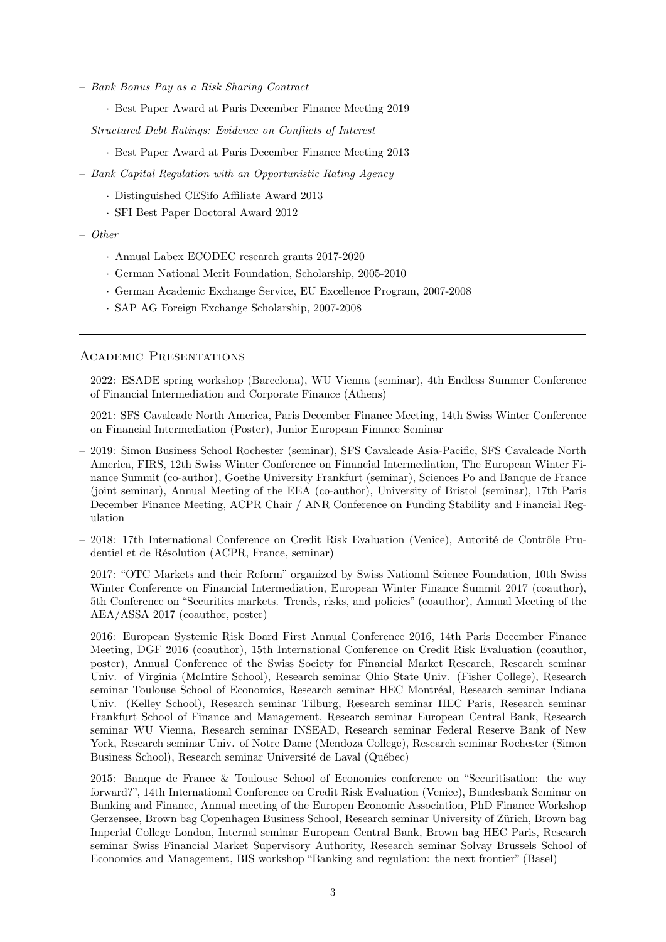- Bank Bonus Pay as a Risk Sharing Contract
	- · Best Paper Award at Paris December Finance Meeting 2019
- Structured Debt Ratings: Evidence on Conflicts of Interest
	- · Best Paper Award at Paris December Finance Meeting 2013
- Bank Capital Regulation with an Opportunistic Rating Agency
	- · Distinguished CESifo Affiliate Award 2013
	- · SFI Best Paper Doctoral Award 2012
- Other
	- · Annual Labex ECODEC research grants 2017-2020
	- · German National Merit Foundation, Scholarship, 2005-2010
	- · German Academic Exchange Service, EU Excellence Program, 2007-2008
	- · SAP AG Foreign Exchange Scholarship, 2007-2008

#### Academic Presentations

- 2022: ESADE spring workshop (Barcelona), WU Vienna (seminar), 4th Endless Summer Conference of Financial Intermediation and Corporate Finance (Athens)
- 2021: SFS Cavalcade North America, Paris December Finance Meeting, 14th Swiss Winter Conference on Financial Intermediation (Poster), Junior European Finance Seminar
- 2019: Simon Business School Rochester (seminar), SFS Cavalcade Asia-Pacific, SFS Cavalcade North America, FIRS, 12th Swiss Winter Conference on Financial Intermediation, The European Winter Finance Summit (co-author), Goethe University Frankfurt (seminar), Sciences Po and Banque de France (joint seminar), Annual Meeting of the EEA (co-author), University of Bristol (seminar), 17th Paris December Finance Meeting, ACPR Chair / ANR Conference on Funding Stability and Financial Regulation
- 2018: 17th International Conference on Credit Risk Evaluation (Venice), Autorité de Contrôle Prudentiel et de Résolution (ACPR, France, seminar)
- 2017: "OTC Markets and their Reform" organized by Swiss National Science Foundation, 10th Swiss Winter Conference on Financial Intermediation, European Winter Finance Summit 2017 (coauthor), 5th Conference on "Securities markets. Trends, risks, and policies" (coauthor), Annual Meeting of the AEA/ASSA 2017 (coauthor, poster)
- 2016: European Systemic Risk Board First Annual Conference 2016, 14th Paris December Finance Meeting, DGF 2016 (coauthor), 15th International Conference on Credit Risk Evaluation (coauthor, poster), Annual Conference of the Swiss Society for Financial Market Research, Research seminar Univ. of Virginia (McIntire School), Research seminar Ohio State Univ. (Fisher College), Research seminar Toulouse School of Economics, Research seminar HEC Montréal, Research seminar Indiana Univ. (Kelley School), Research seminar Tilburg, Research seminar HEC Paris, Research seminar Frankfurt School of Finance and Management, Research seminar European Central Bank, Research seminar WU Vienna, Research seminar INSEAD, Research seminar Federal Reserve Bank of New York, Research seminar Univ. of Notre Dame (Mendoza College), Research seminar Rochester (Simon Business School), Research seminar Université de Laval (Québec)
- 2015: Banque de France & Toulouse School of Economics conference on "Securitisation: the way forward?", 14th International Conference on Credit Risk Evaluation (Venice), Bundesbank Seminar on Banking and Finance, Annual meeting of the Europen Economic Association, PhD Finance Workshop Gerzensee, Brown bag Copenhagen Business School, Research seminar University of Zurich, Brown bag ¨ Imperial College London, Internal seminar European Central Bank, Brown bag HEC Paris, Research seminar Swiss Financial Market Supervisory Authority, Research seminar Solvay Brussels School of Economics and Management, BIS workshop "Banking and regulation: the next frontier" (Basel)